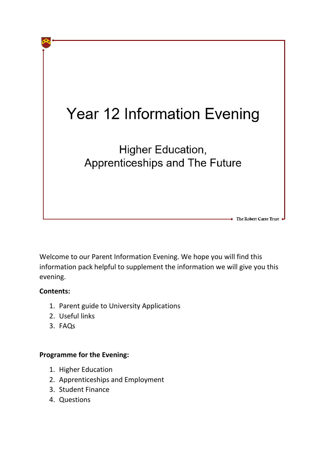

Welcome to our Parent Information Evening. We hope you will find this information pack helpful to supplement the information we will give you this evening.

# **Contents:**

- 1. Parent guide to University Applications
- 2. Useful links
- 3. FAQs

# **Programme for the Evening:**

- 1. Higher Education
- 2. Apprenticeships and Employment
- 3. Student Finance
- 4. Questions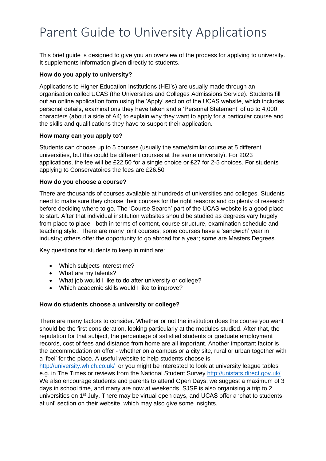This brief guide is designed to give you an overview of the process for applying to university. It supplements information given directly to students.

# **How do you apply to university?**

Applications to Higher Education Institutions (HEI's) are usually made through an organisation called UCAS (the Universities and Colleges Admissions Service). Students fill out an online application form using the 'Apply' section of the UCAS website, which includes personal details, examinations they have taken and a 'Personal Statement' of up to 4,000 characters (about a side of A4) to explain why they want to apply for a particular course and the skills and qualifications they have to support their application.

#### **How many can you apply to?**

Students can choose up to 5 courses (usually the same/similar course at 5 different universities, but this could be different courses at the same university). For 2023 applications, the fee will be £22.50 for a single choice or £27 for 2-5 choices. For students applying to Conservatoires the fees are £26.50

# **How do you choose a course?**

There are thousands of courses available at hundreds of universities and colleges. Students need to make sure they choose their courses for the right reasons and do plenty of research before deciding where to go. The 'Course Search' part of the UCAS website is a good place to start. After that individual institution websites should be studied as degrees vary hugely from place to place - both in terms of content, course structure, examination schedule and teaching style. There are many joint courses; some courses have a 'sandwich' year in industry; others offer the opportunity to go abroad for a year; some are Masters Degrees.

Key questions for students to keep in mind are:

- Which subjects interest me?
- What are my talents?
- What job would I like to do after university or college?
- Which academic skills would I like to improve?

# **How do students choose a university or college?**

There are many factors to consider. Whether or not the institution does the course you want should be the first consideration, looking particularly at the modules studied. After that, the reputation for that subject, the percentage of satisfied students or graduate employment records, cost of fees and distance from home are all important. Another important factor is the accommodation on offer - whether on a campus or a city site, rural or urban together with a 'feel' for the place. A useful website to help students choose is

<http://university.which.co.uk/>or you might be interested to look at university league tables e.g. in The Times or reviews from the National Student Survey<http://unistats.direct.gov.uk/> We also encourage students and parents to attend Open Days; we suggest a maximum of 3 days in school time, and many are now at weekends. SJSF is also organising a trip to 2 universities on 1<sup>st</sup> July. There may be virtual open days, and UCAS offer a 'chat to students at uni' section on their website, which may also give some insights.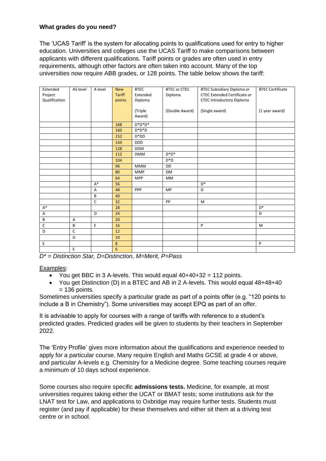# **What grades do you need?**

The 'UCAS Tariff' is the system for allocating points to qualifications used for entry to higher education. Universities and colleges use the UCAS Tariff to make comparisons between applicants with different qualifications. Tariff points or grades are often used in entry requirements, although other factors are often taken into account. Many of the top universities now require ABB grades, or 128 points. The table below shows the tariff:

| Extended      | AS level     | A level        | <b>New</b>    | <b>BTEC</b> | <b>BTEC or CTEC</b> | BTEC Subsidiary Diploma or          | <b>BTEC Certificate</b> |
|---------------|--------------|----------------|---------------|-------------|---------------------|-------------------------------------|-------------------------|
| Project       |              |                | <b>Tariff</b> | Extended    | Diploma             | <b>CTEC Extended Certificate or</b> |                         |
| Qualification |              |                | points        | Diploma     |                     | <b>CTEC Introductory Diploma</b>    |                         |
|               |              |                |               |             |                     |                                     |                         |
|               |              |                |               | (Triple     | (Double Award)      | (Single award)                      | (1 year award)          |
|               |              |                |               | Award)      |                     |                                     |                         |
|               |              |                | 168           | $D^*D^*D^*$ |                     |                                     |                         |
|               |              |                | 160           | $D^*D^*D$   |                     |                                     |                         |
|               |              |                | 152           | $D^*DD$     |                     |                                     |                         |
|               |              |                | 144           | <b>DDD</b>  |                     |                                     |                         |
|               |              |                | 128           | <b>DDM</b>  |                     |                                     |                         |
|               |              |                | 112           | <b>DMM</b>  | $D^*D^*$            |                                     |                         |
|               |              |                | 104           |             | $D^*D$              |                                     |                         |
|               |              |                | 96            | <b>MMM</b>  | <b>DD</b>           |                                     |                         |
|               |              |                | 80            | <b>MMP</b>  | <b>DM</b>           |                                     |                         |
|               |              |                | 64            | <b>MPP</b>  | MM                  |                                     |                         |
|               |              | $A^*$          | 56            |             |                     | $D^*$                               |                         |
|               |              | $\overline{A}$ | 48            | PPP         | MP                  | D                                   |                         |
|               |              | B              | 40            |             |                     |                                     |                         |
|               |              | $\mathsf{C}$   | 32            |             | PP                  | M                                   |                         |
| $A^*$         |              |                | 28            |             |                     |                                     | $D^*$                   |
| A             |              | D              | 24            |             |                     |                                     | D                       |
| B             | A            |                | 20            |             |                     |                                     |                         |
| C             | B            | E              | 16            |             |                     | P                                   | M                       |
| D             | $\mathsf{C}$ |                | 12            |             |                     |                                     |                         |
|               | D            |                | 10            |             |                     |                                     |                         |
| E             |              |                | 8             |             |                     |                                     | P                       |
|               | E            |                | 6             |             |                     |                                     |                         |

*D\* = Distinction Star, D=Distinction, M=Merit, P=Pass*

Examples:

- You get BBC in 3 A-levels. This would equal  $40+40+32 = 112$  points.
- You get Distinction (D) in a BTEC and AB in 2 A-levels. This would equal 48+48+40  $= 136$  points.

Sometimes universities specify a particular grade as part of a points offer (e.g. "120 points to include a B in Chemistry"). Some universities may accept EPQ as part of an offer.

It is advisable to apply for courses with a range of tariffs with reference to a student's predicted grades. Predicted grades will be given to students by their teachers in September 2022.

The 'Entry Profile' gives more information about the qualifications and experience needed to apply for a particular course. Many require English and Maths GCSE at grade 4 or above, and particular A-levels e.g. Chemistry for a Medicine degree. Some teaching courses require a minimum of 10 days school experience.

Some courses also require specific **admissions tests.** Medicine, for example, at most universities requires taking either the UCAT or BMAT tests; some institutions ask for the LNAT test for Law, and applications to Oxbridge may require further tests. Students must register (and pay if applicable) for these themselves and either sit them at a driving test centre or in school.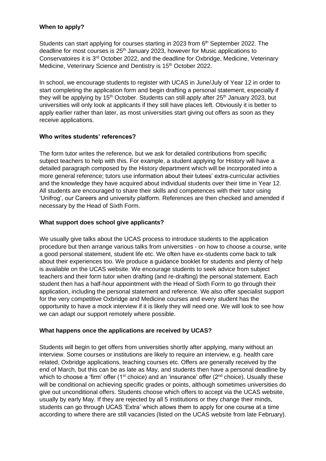# **When to apply?**

Students can start applying for courses starting in 2023 from 6<sup>th</sup> September 2022. The deadline for most courses is 25<sup>th</sup> January 2023, however for Music applications to Conservatoires it is 3<sup>rd</sup> October 2022, and the deadline for Oxbridge, Medicine, Veterinary Medicine, Veterinary Science and Dentistry is 15<sup>th</sup> October 2022.

In school, we encourage students to register with UCAS in June/July of Year 12 in order to start completing the application form and begin drafting a personal statement, especially if they will be applying by 15<sup>th</sup> October. Students can still apply after 25<sup>th</sup> January 2023, but universities will only look at applicants if they still have places left. Obviously it is better to apply earlier rather than later, as most universities start giving out offers as soon as they receive applications.

# **Who writes students' references?**

The form tutor writes the reference, but we ask for detailed contributions from specific subject teachers to help with this. For example, a student applying for History will have a detailed paragraph composed by the History department which will be incorporated into a more general reference; tutors use information about their tutees' extra-curricular activities and the knowledge they have acquired about individual students over their time in Year 12. All students are encouraged to share their skills and competences with their tutor using 'Unifrog', our Careers and university platform. References are then checked and amended if necessary by the Head of Sixth Form.

# **What support does school give applicants?**

We usually give talks about the UCAS process to introduce students to the application procedure but then arrange various talks from universities - on how to choose a course, write a good personal statement, student life etc. We often have ex-students come back to talk about their experiences too. We produce a guidance booklet for students and plenty of help is available on the UCAS website. We encourage students to seek advice from subject teachers and their form tutor when drafting (and re-drafting) the personal statement. Each student then has a half-hour appointment with the Head of Sixth Form to go through their application, including the personal statement and reference. We also offer specialist support for the very competitive Oxbridge and Medicine courses and every student has the opportunity to have a mock interview if it is likely they will need one. We will look to see how we can adapt our support remotely where possible.

#### **What happens once the applications are received by UCAS?**

Students will begin to get offers from universities shortly after applying, many without an interview. Some courses or institutions are likely to require an interview, e.g. health care related, Oxbridge applications, teaching courses etc. Offers are generally received by the end of March, but this can be as late as May, and students then have a personal deadline by which to choose a 'firm' offer (1<sup>st</sup> choice) and an 'insurance' offer ( $2<sup>nd</sup>$  choice). Usually these will be conditional on achieving specific grades or points, although sometimes universities do give out unconditional offers. Students choose which offers to accept via the UCAS website, usually by early May. If they are rejected by all 5 institutions or they change their minds, students can go through UCAS 'Extra' which allows them to apply for one course at a time according to where there are still vacancies (listed on the UCAS website from late February).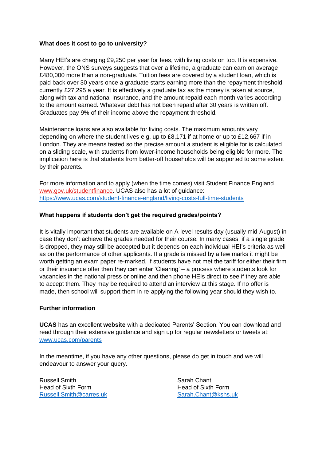#### **What does it cost to go to university?**

Many HEI's are charging £9,250 per year for fees, with living costs on top. It is expensive. However, the ONS surveys suggests that over a lifetime, a graduate can earn on average £480,000 more than a non-graduate. Tuition fees are covered by a student loan, which is paid back over 30 years once a graduate starts earning more than the repayment threshold currently £27,295 a year. It is effectively a graduate tax as the money is taken at source, along with tax and national insurance, and the amount repaid each month varies according to the amount earned. Whatever debt has not been repaid after 30 years is written off. Graduates pay 9% of their income above the repayment threshold.

Maintenance loans are also available for living costs. The maximum amounts vary depending on where the student lives e.g. up to £8,171 if at home or up to £12,667 if in London. They are means tested so the precise amount a student is eligible for is calculated on a sliding scale, with students from lower-income households being eligible for more. The implication here is that students from better-off households will be supported to some extent by their parents.

For more information and to apply (when the time comes) visit Student Finance England [www.gov.uk/studentfinance.](https://www.gov.uk/studentfinance) UCAS also has a lot of guidance: <https://www.ucas.com/student-finance-england/living-costs-full-time-students>

# **What happens if students don't get the required grades/points?**

It is vitally important that students are available on A-level results day (usually mid-August) in case they don't achieve the grades needed for their course. In many cases, if a single grade is dropped, they may still be accepted but it depends on each individual HEI's criteria as well as on the performance of other applicants. If a grade is missed by a few marks it might be worth getting an exam paper re-marked. If students have not met the tariff for either their firm or their insurance offer then they can enter 'Clearing' – a process where students look for vacancies in the national press or online and then phone HEIs direct to see if they are able to accept them. They may be required to attend an interview at this stage. If no offer is made, then school will support them in re-applying the following year should they wish to.

#### **Further information**

**UCAS** has an excellent **website** with a dedicated Parents' Section. You can download and read through their extensive guidance and sign up for regular newsletters or tweets at: [www.ucas.com/](http://www.ucas.com/)parents

In the meantime, if you have any other questions, please do get in touch and we will endeavour to answer your query.

Russell Smith Sarah Chant Head of Sixth Form Head of Sixth Form [Russell.Smith@carres.uk](mailto:Russell.Smith@carres.uk) [Sarah.Chant@kshs.uk](mailto:Sarah.Chant@kshs.uk)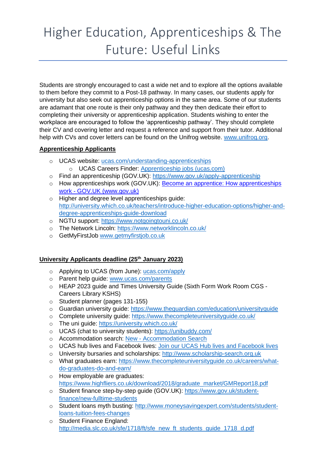# Higher Education, Apprenticeships & The Future: Useful Links

Students are strongly encouraged to cast a wide net and to explore all the options available to them before they commit to a Post-18 pathway. In many cases, our students apply for university but also seek out apprenticeship options in the same area. Some of our students are adamant that one route is their only pathway and they then dedicate their effort to completing their university or apprenticeship application. Students wishing to enter the workplace are encouraged to follow the 'apprenticeship pathway'. They should complete their CV and covering letter and request a reference and support from their tutor. Additional help with CVs and cover letters can be found on the Unifrog website. [www.unifrog.org.](http://www.unifrog.org/)

# **Apprenticeship Applicants**

- o UCAS website: [ucas.com/understanding-apprenticeships](https://www.ucas.com/understanding-apprenticeships) o UCAS Careers Finder: [Apprenticeship jobs \(ucas.com\)](https://careerfinder.ucas.com/jobs/apprenticeship/)
- o Find an apprenticeship (GOV.UK): <https://www.gov.uk/apply-apprenticeship>
- o How apprenticeships work (GOV.UK): [Become an apprentice: How apprenticeships](https://www.gov.uk/become-apprentice)  work - [GOV.UK \(www.gov.uk\)](https://www.gov.uk/become-apprentice)
- o Higher and degree level apprenticeships guide: [http://university.which.co.uk/teachers/introduce-higher-education-options/higher-and](http://university.which.co.uk/teachers/introduce-higher-education-options/higher-and-degree-apprenticeships-guide-download)[degree-apprenticeships-guide-download](http://university.which.co.uk/teachers/introduce-higher-education-options/higher-and-degree-apprenticeships-guide-download)
- o NGTU support:<https://www.notgoingtouni.co.uk/>
- o The Network Lincoln: <https://www.networklincoln.co.uk/>
- o GetMyFirstJob [www.getmyfirstjob.co.uk](http://www.getmyfirstjob.co.uk/)

# **University Applicants deadline (25th January 2023)**

- o Applying to UCAS (from June): [ucas.com/apply](http://www.ucas.com/apply)
- o Parent help guide: [www.ucas.com/parents](http://www.ucas.com/parents)
- o HEAP 2023 guide and Times University Guide (Sixth Form Work Room CGS Careers Library KSHS)
- o Student planner (pages 131-155)
- o Guardian university guide:<https://www.theguardian.com/education/universityguide>
- o Complete university guide:<https://www.thecompleteuniversityguide.co.uk/>
- o The uni guide:<https://university.which.co.uk/>
- o UCAS (chat to university students):<https://unibuddy.com/>
- o Accommodation search: New [Accommodation Search](https://accommodation.ucas.com/)
- o UCAS hub lives and Facebook lives: [Join our UCAS Hub lives and Facebook lives](https://www.ucas.com/undergraduate/what-and-where-study/ucas-hub-live)
- o University bursaries and scholarships: [http://www.scholarship-search.org.uk](http://www.scholarship-search.org.uk/)
- o What graduates earn: [https://www.thecompleteuniversityguide.co.uk/careers/what](https://www.thecompleteuniversityguide.co.uk/careers/what-do-graduates-do-and-earn/)[do-graduates-do-and-earn/](https://www.thecompleteuniversityguide.co.uk/careers/what-do-graduates-do-and-earn/)
- o How employable are graduates: [https://www.highfliers.co.uk/download/2018/graduate\\_market/GMReport18.pdf](https://www.highfliers.co.uk/download/2018/graduate_market/GMReport18.pdf)
- o Student finance step-by-step guide (GOV.UK): [https://www.gov.uk/student](https://www.gov.uk/student-finance/new-fulltime-students)[finance/new-fulltime-students](https://www.gov.uk/student-finance/new-fulltime-students)
- o Student loans myth busting: [http://www.moneysavingexpert.com/students/student](http://www.moneysavingexpert.com/students/student-loans-tuition-fees-changes)[loans-tuition-fees-changes](http://www.moneysavingexpert.com/students/student-loans-tuition-fees-changes)
- o Student Finance England: [http://media.slc.co.uk/sfe/1718/ft/sfe\\_new\\_ft\\_students\\_guide\\_1718\\_d.pdf](http://media.slc.co.uk/sfe/1718/ft/sfe_new_ft_students_guide_1718_d.pdf)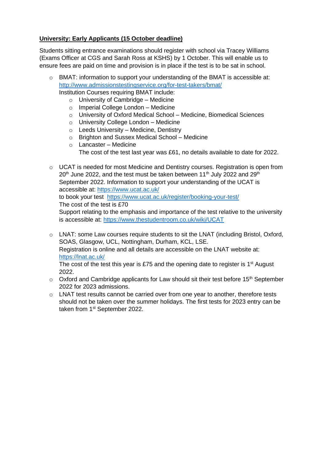# **University: Early Applicants (15 October deadline)**

Students sitting entrance examinations should register with school via Tracey Williams (Exams Officer at CGS and Sarah Ross at KSHS) by 1 October. This will enable us to ensure fees are paid on time and provision is in place if the test is to be sat in school.

- o BMAT: information to support your understanding of the BMAT is accessible at: <http://www.admissionstestingservice.org/for-test-takers/bmat/> Institution Courses requiring BMAT include:
	- $\circ$  University of Cambridge Medicine
	- o Imperial College London Medicine
	- o University of Oxford Medical School Medicine, Biomedical Sciences
	- o University College London Medicine
	- o Leeds University Medicine, Dentistry
	- o Brighton and Sussex Medical School Medicine
	- o Lancaster Medicine The cost of the test last year was £61, no details available to date for 2022.

o UCAT is needed for most Medicine and Dentistry courses. Registration is open from  $20<sup>th</sup>$  June 2022, and the test must be taken between 11<sup>th</sup> July 2022 and 29<sup>th</sup> September 2022. Information to support your understanding of the UCAT is accessible at:<https://www.ucat.ac.uk/> to book your test<https://www.ucat.ac.uk/register/booking-your-test/> The cost of the test is £70 Support relating to the emphasis and importance of the test relative to the university is accessible at:<https://www.thestudentroom.co.uk/wiki/UCAT>

o LNAT: some Law courses require students to sit the LNAT (including Bristol, Oxford, SOAS, Glasgow, UCL, Nottingham, Durham, KCL, LSE. Registration is online and all details are accessible on the LNAT website at: <https://lnat.ac.uk/> The cost of the test this year is £75 and the opening date to register is  $1<sup>st</sup>$  August

2022.

- $\circ$  Oxford and Cambridge applicants for Law should sit their test before 15<sup>th</sup> September 2022 for 2023 admissions.
- $\circ$  LNAT test results cannot be carried over from one year to another, therefore tests should not be taken over the summer holidays. The first tests for 2023 entry can be taken from 1<sup>st</sup> September 2022.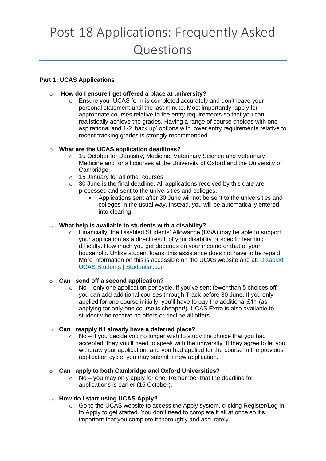# Post-18 Applications: Frequently Asked Questions

# **Part 1: UCAS Applications**

# o **How do I ensure I get offered a place at university?**

o Ensure your UCAS form is completed accurately and don't leave your personal statement until the last minute. Most importantly, apply for appropriate courses relative to the entry requirements so that you can realistically achieve the grades. Having a range of course choices with one aspirational and 1-2 'back up' options with lower entry requirements relative to recent tracking grades is strongly recommended.

# o **What are the UCAS application deadlines?**

- o 15 October for Dentistry, Medicine, Veterinary Science and Veterinary Medicine and for all courses at the University of Oxford and the University of Cambridge.
- o 15 January for all other courses.
- $\circ$  30 June is the final deadline. All applications received by this date are processed and sent to the universities and colleges.
	- Applications sent after 30 June will not be sent to the universities and colleges in the usual way. Instead, you will be automatically entered into clearing.

# o **What help is available to students with a disability?**

o Financially, the Disabled Students' Allowance (DSA) may be able to support your application as a direct result of your disability or specific learning difficulty. How much you get depends on your income or that of your household. Unlike student loans, this assistance does not have to be repaid. More information on this is accessible on the UCAS website and at: [Disabled](https://www.studential.com/university/applying/UCAS-application-guide/UCAS-for-disabled-students)  [UCAS Students | Studential.com](https://www.studential.com/university/applying/UCAS-application-guide/UCAS-for-disabled-students)

#### o **Can I send off a second application?**

 $\circ$  No – only one application per cycle. If you've sent fewer than 5 choices off, you can add additional courses through Track before 30 June. If you only applied for one course initially, you'll have to pay the additional £11 (as applying for only one course is cheaper!). UCAS Extra is also available to student who receive no offers or decline all offers.

# o **Can I reapply if I already have a deferred place?**

 $\circ$  No – if you decide you no longer wish to study the choice that you had accepted, they you'll need to speak with the university. If they agree to let you withdraw your application, and you had applied for the course in the previous application cycle, you may submit a new application.

#### o **Can I apply to both Cambridge and Oxford Universities?**

o No – you may only apply for one. Remember that the deadline for applications is earlier (15 October).

# o **How do I start using UCAS Apply?**

 $\circ$  Go to the UCAS website to access the Apply system, clicking Register/Log in to Apply to get started. You don't need to complete it all at once so it's important that you complete it thoroughly and accurately.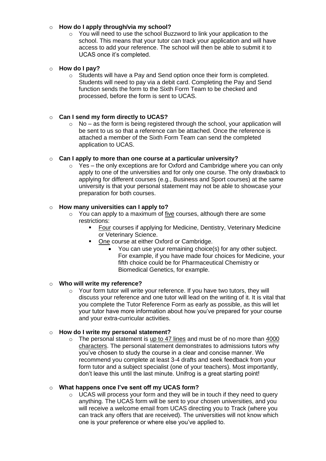#### o **How do I apply through/via my school?**

 $\circ$  You will need to use the school Buzzword to link your application to the school. This means that your tutor can track your application and will have access to add your reference. The school will then be able to submit it to UCAS once it's completed.

### o **How do I pay?**

 $\circ$  Students will have a Pay and Send option once their form is completed. Students will need to pay via a debit card. Completing the Pay and Send function sends the form to the Sixth Form Team to be checked and processed, before the form is sent to UCAS.

# o **Can I send my form directly to UCAS?**

 $\circ$  No – as the form is being registered through the school, your application will be sent to us so that a reference can be attached. Once the reference is attached a member of the Sixth Form Team can send the completed application to UCAS.

# o **Can I apply to more than one course at a particular university?**

o Yes – the only exceptions are for Oxford and Cambridge where you can only apply to one of the universities and for only one course. The only drawback to applying for different courses (e.g., Business and Sport courses) at the same university is that your personal statement may not be able to showcase your preparation for both courses.

# o **How many universities can I apply to?**

- o You can apply to a maximum of five courses, although there are some restrictions:
	- Four courses if applying for Medicine, Dentistry, Veterinary Medicine or Veterinary Science.
	- One course at either Oxford or Cambridge.
		- You can use your remaining choice(s) for any other subject. For example, if you have made four choices for Medicine, your fifth choice could be for Pharmaceutical Chemistry or Biomedical Genetics, for example.

#### o **Who will write my reference?**

o Your form tutor will write your reference. If you have two tutors, they will discuss your reference and one tutor will lead on the writing of it. It is vital that you complete the Tutor Reference Form as early as possible, as this will let your tutor have more information about how you've prepared for your course and your extra-curricular activities.

#### o **How do I write my personal statement?**

 $\circ$  The personal statement is up to 47 lines and must be of no more than 4000 characters. The personal statement demonstrates to admissions tutors why you've chosen to study the course in a clear and concise manner. We recommend you complete at least 3-4 drafts and seek feedback from your form tutor and a subject specialist (one of your teachers). Most importantly, don't leave this until the last minute. Unifrog is a great starting point!

#### o **What happens once I've sent off my UCAS form?**

o UCAS will process your form and they will be in touch if they need to query anything. The UCAS form will be sent to your chosen universities, and you will receive a welcome email from UCAS directing you to Track (where you can track any offers that are received). The universities will not know which one is your preference or where else you've applied to.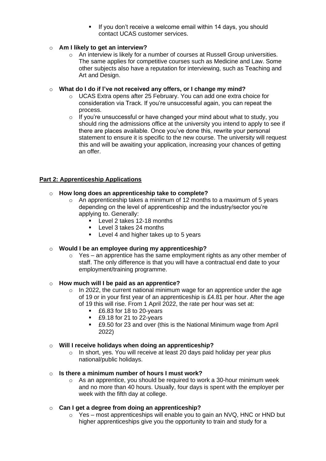If you don't receive a welcome email within 14 days, you should contact UCAS customer services.

# o **Am I likely to get an interview?**

o An interview is likely for a number of courses at Russell Group universities. The same applies for competitive courses such as Medicine and Law. Some other subjects also have a reputation for interviewing, such as Teaching and Art and Design.

### o **What do I do if I've not received any offers, or I change my mind?**

- o UCAS Extra opens after 25 February. You can add one extra choice for consideration via Track. If you're unsuccessful again, you can repeat the process.
- o If you're unsuccessful or have changed your mind about what to study, you should ring the admissions office at the university you intend to apply to see if there are places available. Once you've done this, rewrite your personal statement to ensure it is specific to the new course. The university will request this and will be awaiting your application, increasing your chances of getting an offer.

# **Part 2: Apprenticeship Applications**

# o **How long does an apprenticeship take to complete?**

- $\circ$  An apprenticeship takes a minimum of 12 months to a maximum of 5 years depending on the level of apprenticeship and the industry/sector you're applying to. Generally:
	- Level 2 takes 12-18 months
	- Level 3 takes 24 months
	- Level 4 and higher takes up to 5 years

# o **Would I be an employee during my apprenticeship?**

 $\circ$  Yes – an apprentice has the same employment rights as any other member of staff. The only difference is that you will have a contractual end date to your employment/training programme.

#### o **How much will I be paid as an apprentice?**

- o In 2022, the current national minimum wage for an apprentice under the age of 19 or in your first year of an apprenticeship is £4.81 per hour. After the age of 19 this will rise. From 1 April 2022, the rate per hour was set at:
	- £6.83 for 18 to 20-years
	- £9.18 for 21 to 22-years
	- £9.50 for 23 and over (this is the National Minimum wage from April 2022)

#### o **Will I receive holidays when doing an apprenticeship?**

o In short, yes. You will receive at least 20 days paid holiday per year plus national/public holidays.

#### o **Is there a minimum number of hours I must work?**

- o As an apprentice, you should be required to work a 30-hour minimum week and no more than 40 hours. Usually, four days is spent with the employer per week with the fifth day at college.
- o **Can I get a degree from doing an apprenticeship?**
	- o Yes most apprenticeships will enable you to gain an NVQ, HNC or HND but higher apprenticeships give you the opportunity to train and study for a